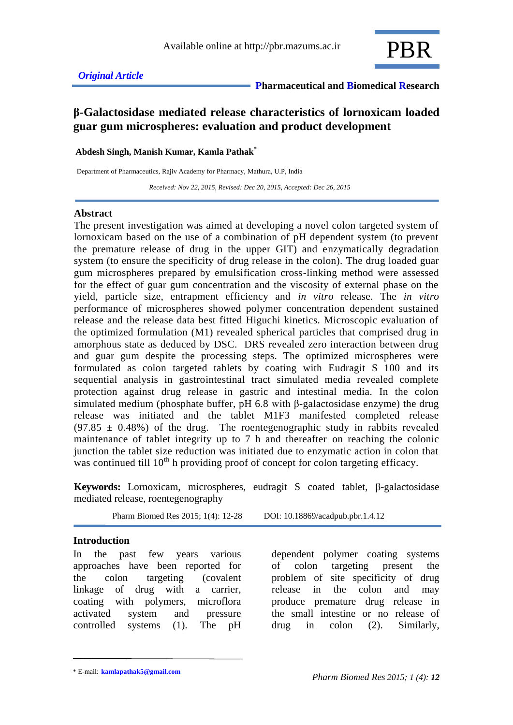

# **β-Galactosidase mediated release characteristics of lornoxicam loaded guar gum microspheres: evaluation and product development**

**Abdesh Singh, Manish Kumar, Kamla Pathak\***

Department of Pharmaceutics, Rajiv Academy for Pharmacy, Mathura, U.P, India

 *Received: Nov 22, 2015, Revised: Dec 20, 2015, Accepted: Dec 26, 2015*

### **Abstract**

The present investigation was aimed at developing a novel colon targeted system of lornoxicam based on the use of a combination of pH dependent system (to prevent the premature release of drug in the upper GIT) and enzymatically degradation system (to ensure the specificity of drug release in the colon). The drug loaded guar gum microspheres prepared by emulsification cross-linking method were assessed for the effect of guar gum concentration and the viscosity of external phase on the yield, particle size, entrapment efficiency and *in vitro* release. The *in vitro*  performance of microspheres showed polymer concentration dependent sustained release and the release data best fitted Higuchi kinetics. Microscopic evaluation of the optimized formulation (M1) revealed spherical particles that comprised drug in amorphous state as deduced by DSC. DRS revealed zero interaction between drug and guar gum despite the processing steps. The optimized microspheres were formulated as colon targeted tablets by coating with Eudragit S 100 and its sequential analysis in gastrointestinal tract simulated media revealed complete protection against drug release in gastric and intestinal media. In the colon simulated medium (phosphate buffer, pH 6.8 with β-galactosidase enzyme) the drug release was initiated and the tablet M1F3 manifested completed release  $(97.85 \pm 0.48\%)$  of the drug. The roentegenographic study in rabbits revealed maintenance of tablet integrity up to 7 h and thereafter on reaching the colonic junction the tablet size reduction was initiated due to enzymatic action in colon that was continued till  $10^{th}$  h providing proof of concept for colon targeting efficacy.

**Keywords:** Lornoxicam, microspheres, eudragit S coated tablet, β-galactosidase mediated release, roentegenography

Pharm Biomed Res 2015; 1(4): 12-28 DOI: 10.18869/acadpub.pbr.1.4.12

### **Introduction**

In the past few years various approaches have been reported for the colon targeting (covalent linkage of drug with a carrier, coating with polymers, microflora activated system and pressure controlled systems (1). The pH

dependent polymer coating systems of colon targeting present the problem of site specificity of drug release in the colon and may produce premature drug release in the small intestine or no release of drug in colon (2). Similarly,

<sup>\*</sup> E-mail: **kamlapathak5@gmail.com**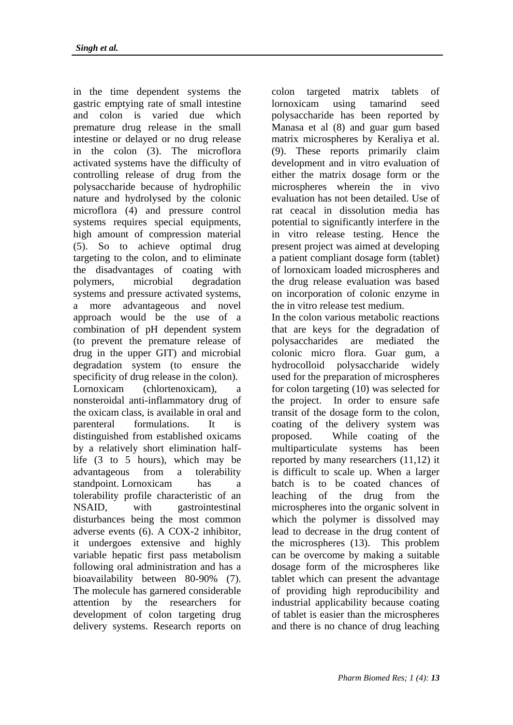in the time dependent systems the gastric emptying rate of small intestine and colon is varied due which premature drug release in the small intestine or delayed or no drug release in the colon (3). The microflora activated systems have the difficulty of controlling release of drug from the polysaccharide because of hydrophilic nature and hydrolysed by the colonic microflora (4) and pressure control systems requires special equipments, high amount of compression material (5). So to achieve optimal drug targeting to the colon, and to eliminate the disadvantages of coating with polymers, microbial degradation systems and pressure activated systems, a more advantageous and novel approach would be the use of a combination of pH dependent system (to prevent the premature release of drug in the upper GIT) and microbial degradation system (to ensure the specificity of drug release in the colon). Lornoxicam (chlortenoxicam), a nonsteroidal anti-inflammatory drug of the oxicam class, is available in oral and parenteral formulations. It is distinguished from established oxicams by a relatively short elimination halflife (3 to 5 hours), which may be advantageous from a tolerability standpoint. Lornoxicam has a tolerability profile characteristic of an NSAID, with gastrointestinal disturbances being the most common adverse events (6). A COX-2 inhibitor, it undergoes extensive and highly variable hepatic first pass metabolism following oral administration and has a bioavailability between 80-90% (7). The molecule has garnered considerable attention by the researchers for development of colon targeting drug delivery systems. Research reports on

colon targeted matrix tablets of lornoxicam using tamarind seed polysaccharide has been reported by Manasa et al (8) and guar gum based matrix microspheres by Keraliya et al. (9). These reports primarily claim development and in vitro evaluation of either the matrix dosage form or the microspheres wherein the in vivo evaluation has not been detailed. Use of rat ceacal in dissolution media has potential to significantly interfere in the in vitro release testing. Hence the present project was aimed at developing a patient compliant dosage form (tablet) of lornoxicam loaded microspheres and the drug release evaluation was based on incorporation of colonic enzyme in the in vitro release test medium.

In the colon various metabolic reactions that are keys for the degradation of polysaccharides are mediated the colonic micro flora. Guar gum, a hydrocolloid polysaccharide widely used for the preparation of microspheres for colon targeting (10) was selected for the project. In order to ensure safe transit of the dosage form to the colon, coating of the delivery system was proposed. While coating of the multiparticulate systems has been reported by many researchers (11,12) it is difficult to scale up. When a larger batch is to be coated chances of leaching of the drug from the microspheres into the organic solvent in which the polymer is dissolved may lead to decrease in the drug content of the microspheres (13). This problem can be overcome by making a suitable dosage form of the microspheres like tablet which can present the advantage of providing high reproducibility and industrial applicability because coating of tablet is easier than the microspheres and there is no chance of drug leaching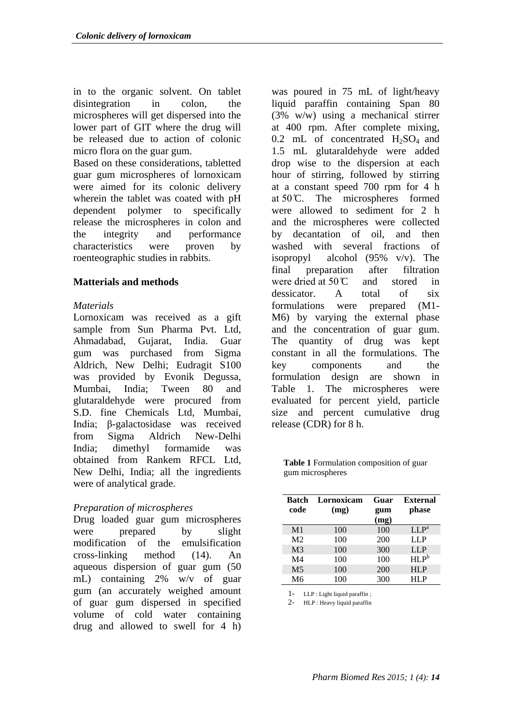in to the organic solvent. On tablet disintegration in colon, the microspheres will get dispersed into the lower part of GIT where the drug will be released due to action of colonic micro flora on the guar gum.

Based on these considerations, tabletted guar gum microspheres of lornoxicam were aimed for its colonic delivery wherein the tablet was coated with pH dependent polymer to specifically release the microspheres in colon and the integrity and performance characteristics were proven by roenteographic studies in rabbits.

## **Matterials and methods**

### *Materials*

Lornoxicam was received as a gift sample from Sun Pharma Pvt. Ltd, Ahmadabad, Gujarat, India. Guar gum was purchased from Sigma Aldrich, New Delhi; Eudragit S100 was provided by Evonik Degussa, Mumbai, India; Tween 80 and glutaraldehyde were procured from S.D. fine Chemicals Ltd, Mumbai, India; β-galactosidase was received from Sigma Aldrich New-Delhi India; dimethyl formamide was obtained from Rankem RFCL Ltd, New Delhi, India; all the ingredients were of analytical grade.

## *Preparation of microspheres*

Drug loaded guar gum microspheres were prepared by slight modification of the emulsification cross-linking method (14). An aqueous dispersion of guar gum (50 mL) containing 2% w/v of guar gum (an accurately weighed amount of guar gum dispersed in specified volume of cold water containing drug and allowed to swell for 4 h)

was poured in 75 mL of light/heavy liquid paraffin containing Span 80 (3% w/w) using a mechanical stirrer at 400 rpm. After complete mixing,  $0.2$  mL of concentrated  $H_2SO_4$  and 1.5 mL glutaraldehyde were added drop wise to the dispersion at each hour of stirring, followed by stirring at a constant speed 700 rpm for 4 h at  $50^{\circ}$ C. The microspheres formed were allowed to sediment for 2 h and the microspheres were collected by decantation of oil, and then washed with several fractions of isopropyl alcohol (95% v/v). The final preparation after filtration were dried at  $50^{\circ}\text{C}$  and stored in dessicator. A total of six formulations were prepared (M1- M6) by varying the external phase and the concentration of guar gum. The quantity of drug was kept constant in all the formulations. The key components and the formulation design are shown in Table 1. The microspheres were evaluated for percent yield, particle size and percent cumulative drug release (CDR) for 8 h.

**Table 1** Formulation composition of guar gum microspheres

| Batch<br>code  | Lornoxicam<br>(mg) | Guar<br>gum<br>(mg) | <b>External</b><br>phase |
|----------------|--------------------|---------------------|--------------------------|
| M <sub>1</sub> | 100                | 100                 | LLP <sup>a</sup>         |
| M <sub>2</sub> | 100                | 200                 | LLP                      |
| M <sub>3</sub> | 100                | 300                 | <b>LLP</b>               |
| M <sub>4</sub> | 100                | 100                 | HLP <sup>b</sup>         |
| M <sub>5</sub> | 100                | 200                 | <b>HLP</b>               |
| M <sub>6</sub> | 100                | 300                 | HI P                     |

1- LLP : Light liquid paraffin ;

2- HLP : Heavy liquid paraffin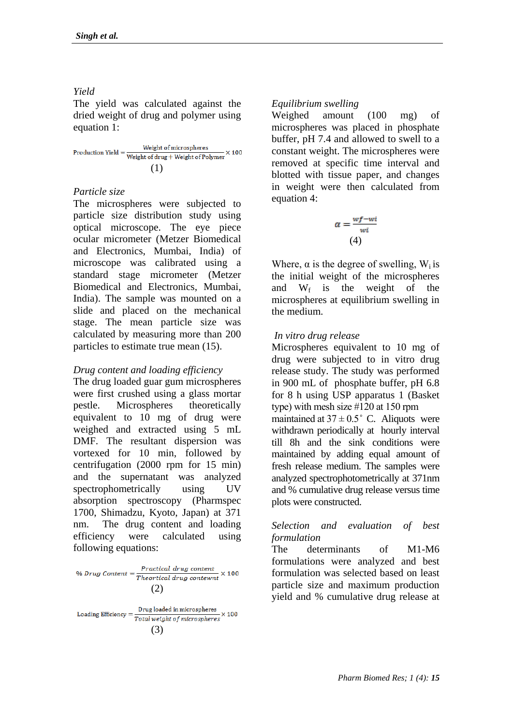# *Yield*

The yield was calculated against the dried weight of drug and polymer using equation 1:

Weight of microspheres Production Yield  $=$   $\frac{\text{weight of interest}}{\text{Weight of drug} + \text{Weight of Polymer}} \times 100$ (1)

## *Particle size*

The microspheres were subjected to particle size distribution study using optical microscope. The eye piece ocular micrometer (Metzer Biomedical and Electronics, Mumbai, India) of microscope was calibrated using a standard stage micrometer (Metzer Biomedical and Electronics, Mumbai, India). The sample was mounted on a slide and placed on the mechanical stage. The mean particle size was calculated by measuring more than 200 particles to estimate true mean (15).

## *Drug content and loading efficiency*

The drug loaded guar gum microspheres were first crushed using a glass mortar pestle. Microspheres theoretically equivalent to 10 mg of drug were weighed and extracted using 5 mL DMF. The resultant dispersion was vortexed for 10 min, followed by centrifugation (2000 rpm for 15 min) and the supernatant was analyzed spectrophometrically using UV absorption spectroscopy (Pharmspec 1700, Shimadzu, Kyoto, Japan) at 371 nm. The drug content and loading efficiency were calculated using following equations:

 $\% \, Drug \; Content = \frac{Practical \; drug \; content}{Theoretical \; drug \; content} \times 100$ (2)

Drug loaded in microspheres  $\times 100$ Loading Efficiency  $=$   $\frac{U(1)}{Total weight of microspheres}$ <br>(3)

## *Equilibrium swelling*

Weighed amount (100 mg) of microspheres was placed in phosphate buffer, pH 7.4 and allowed to swell to a constant weight. The microspheres were removed at specific time interval and blotted with tissue paper, and changes in weight were then calculated from equation 4:

$$
\alpha = \frac{wf - wi}{wi}
$$
  
(4)

Where,  $\alpha$  is the degree of swelling, W<sub>i</sub> is the initial weight of the microspheres and  $W_f$  is the weight of the microspheres at equilibrium swelling in the medium.

## *In vitro drug release*

Microspheres equivalent to 10 mg of drug were subjected to in vitro drug release study. The study was performed in 900 mL of phosphate buffer, pH 6.8 for 8 h using USP apparatus 1 (Basket type) with mesh size  $\#120$  at 150 rpm maintained at  $37 \pm 0.5$ ° C. Aliquots were withdrawn periodically at hourly interval till 8h and the sink conditions were maintained by adding equal amount of fresh release medium. The samples were analyzed spectrophotometrically at 371nm and % cumulative drug release versus time plots were constructed.

### *Selection and evaluation of best formulation*

The determinants of M1-M6 formulations were analyzed and best formulation was selected based on least particle size and maximum production yield and % cumulative drug release at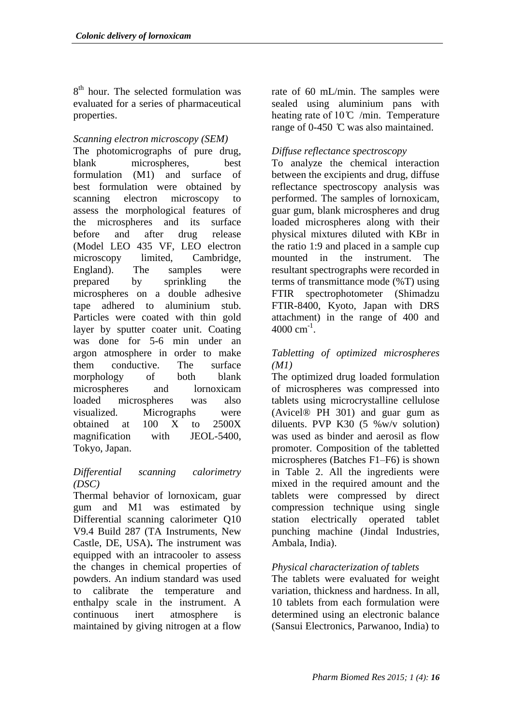8<sup>th</sup> hour. The selected formulation was evaluated for a series of pharmaceutical properties.

## *Scanning electron microscopy (SEM)*

The photomicrographs of pure drug, blank microspheres, best formulation (M1) and surface of best formulation were obtained by scanning electron microscopy to assess the morphological features of the microspheres and its surface before and after drug release (Model LEO 435 VF, LEO electron microscopy limited, Cambridge, England). The samples were prepared by sprinkling the microspheres on a double adhesive tape adhered to aluminium stub. Particles were coated with thin gold layer by sputter coater unit. Coating was done for 5-6 min under an argon atmosphere in order to make them conductive. The surface morphology of both blank microspheres and lornoxicam loaded microspheres was also visualized. Micrographs were obtained at 100 X to 2500X magnification with JEOL-5400, Tokyo, Japan.

## *Differential scanning calorimetry (DSC)*

Thermal behavior of lornoxicam, guar gum and M1 was estimated by Differential scanning calorimeter Q10 V9.4 Build 287 (TA Instruments, New Castle, DE, USA)**.** The instrument was equipped with an intracooler to assess the changes in chemical properties of powders. An indium standard was used to calibrate the temperature and enthalpy scale in the instrument. A continuous inert atmosphere is maintained by giving nitrogen at a flow

rate of 60 mL/min. The samples were sealed using aluminium pans with heating rate of  $10^{\circ}$ C /min. Temperature range of 0-450  $\degree$ C was also maintained.

## *Diffuse reflectance spectroscopy*

To analyze the chemical interaction between the excipients and drug, diffuse reflectance spectroscopy analysis was performed. The samples of lornoxicam, guar gum, blank microspheres and drug loaded microspheres along with their physical mixtures diluted with KBr in the ratio 1:9 and placed in a sample cup mounted in the instrument. The resultant spectrographs were recorded in terms of transmittance mode (%T) using FTIR spectrophotometer (Shimadzu FTIR-8400, Kyoto, Japan with DRS attachment) in the range of 400 and  $4000 \text{ cm}^{-1}$ .

## *Tabletting of optimized microspheres (M1)*

The optimized drug loaded formulation of microspheres was compressed into tablets using microcrystalline cellulose (Avicel® PH 301) and guar gum as diluents. PVP K30  $(5 \% \text{w/v} \text{ solution})$ was used as binder and aerosil as flow promoter. Composition of the tabletted microspheres (Batches F1–F6) is shown in Table 2. All the ingredients were mixed in the required amount and the tablets were compressed by direct compression technique using single station electrically operated tablet punching machine (Jindal Industries, Ambala, India).

## *Physical characterization of tablets*

The tablets were evaluated for weight variation, thickness and hardness. In all, 10 tablets from each formulation were determined using an electronic balance (Sansui Electronics, Parwanoo, India) to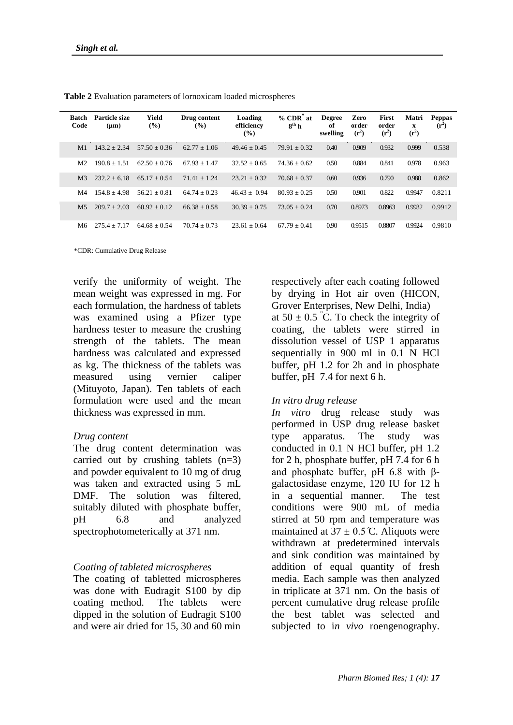| <b>Batch</b><br>Code | Particle size<br>$(\mu m)$ | Yield<br>$\frac{9}{6}$ | Drug content<br>$($ %) | Loading<br>efficiency<br>$\frac{9}{6}$ | $%$ CDR $^{\circ}$ at<br>$8^{th}$ h | <b>Degree</b><br>of<br>swelling | Zero<br>order<br>$(r^2)$ | First<br>order<br>$(r^2)$ | Matri<br>X<br>$(r^2)$ | <b>Peppas</b><br>$(r^2)$ |
|----------------------|----------------------------|------------------------|------------------------|----------------------------------------|-------------------------------------|---------------------------------|--------------------------|---------------------------|-----------------------|--------------------------|
| M <sub>1</sub>       | $143.2 + 2.34$             | $57.50 + 0.36$         | $62.77 \pm 1.06$       | $49.46 + 0.45$                         | $79.91 + 0.32$                      | 0.40                            | 0.909                    | 0.932                     | 0.999                 | 0.538                    |
| M <sub>2</sub>       | $190.8 + 1.51$             | $62.50 + 0.76$         | $67.93 \pm 1.47$       | $32.52 + 0.65$                         | $74.36 + 0.62$                      | 0.50                            | 0.884                    | 0.841                     | 0.978                 | 0.963                    |
| M <sub>3</sub>       | $232.2 + 6.18$             | $65.17 + 0.54$         | $71.41 + 1.24$         | $23.21 + 0.32$                         | $70.68 + 0.37$                      | 0.60                            | 0.936                    | 0.790                     | 0.980                 | 0.862                    |
| M <sub>4</sub>       | $154.8 + 4.98$             | $56.21 + 0.81$         | $64.74 + 0.23$         | $46.43 + 0.94$                         | $80.93 + 0.25$                      | 0.50                            | 0.901                    | 0.822                     | 0.9947                | 0.8211                   |
| M <sub>5</sub>       | $209.7 + 2.03$             | $60.92 + 0.12$         | $66.38 + 0.58$         | $30.39 + 0.75$                         | $73.05 + 0.24$                      | 0.70                            | 0.8973                   | 0.8963                    | 0.9932                | 0.9912                   |
| M6                   | $2754 + 717$               | $64.68 + 0.54$         | $70.74 + 0.73$         | $23.61 + 0.64$                         | $67.79 + 0.41$                      | 0.90                            | 0.9515                   | 0.8807                    | 0.9924                | 0.9810                   |

**Table 2** Evaluation parameters of lornoxicam loaded microspheres

\*CDR: Cumulative Drug Release

verify the uniformity of weight. The mean weight was expressed in mg. For each formulation, the hardness of tablets was examined using a Pfizer type hardness tester to measure the crushing strength of the tablets. The mean hardness was calculated and expressed as kg. The thickness of the tablets was measured using vernier caliper (Mituyoto, Japan). Ten tablets of each formulation were used and the mean thickness was expressed in mm.

### *Drug content*

The drug content determination was carried out by crushing tablets  $(n=3)$ and powder equivalent to 10 mg of drug was taken and extracted using 5 mL DMF. The solution was filtered, suitably diluted with phosphate buffer, pH 6.8 and analyzed spectrophotometerically at 371 nm.

## *Coating of tableted microspheres*

The coating of tabletted microspheres was done with Eudragit S100 by dip coating method. The tablets were dipped in the solution of Eudragit S100 and were air dried for 15, 30 and 60 min

respectively after each coating followed by drying in Hot air oven (HICON, Grover Enterprises, New Delhi, India) at  $50 \pm 0.5$  °C. To check the integrity of coating, the tablets were stirred in dissolution vessel of USP 1 apparatus sequentially in 900 ml in 0.1 N HCl buffer, pH 1.2 for 2h and in phosphate buffer, pH 7.4 for next 6 h.

### *In vitro drug release*

*In vitro* drug release study was performed in USP drug release basket type apparatus. The study was conducted in 0.1 N HCl buffer, pH 1.2 for 2 h, phosphate buffer, pH 7.4 for 6 h and phosphate buffer, pH 6.8 with  $\beta$ galactosidase enzyme, 120 IU for 12 h in a sequential manner. The test conditions were 900 mL of media stirred at 50 rpm and temperature was maintained at  $37 \pm 0.5$  °C. Aliquots were withdrawn at predetermined intervals and sink condition was maintained by addition of equal quantity of fresh media. Each sample was then analyzed in triplicate at 371 nm. On the basis of percent cumulative drug release profile the best tablet was selected and subjected to i*n vivo* roengenography.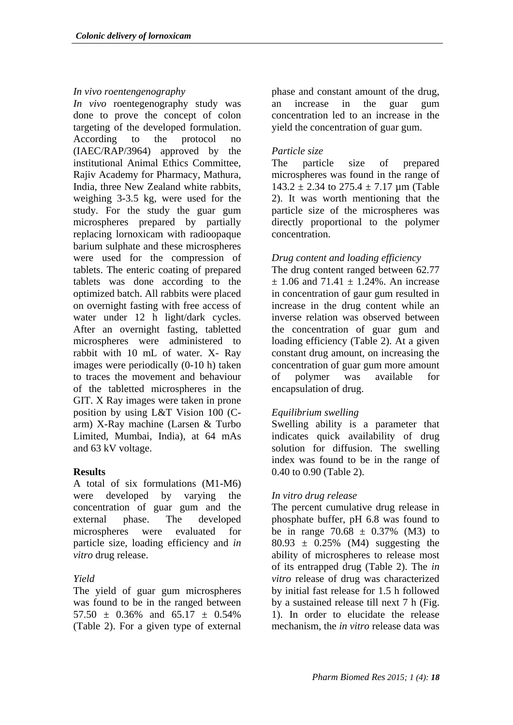## *In vivo roentengenography*

*In vivo* roentegenography study was done to prove the concept of colon targeting of the developed formulation. According to the protocol no (IAEC/RAP/3964) approved by the institutional Animal Ethics Committee, Rajiv Academy for Pharmacy, Mathura, India, three New Zealand white rabbits, weighing 3-3.5 kg, were used for the study. For the study the guar gum microspheres prepared by partially replacing lornoxicam with radioopaque barium sulphate and these microspheres were used for the compression of tablets. The enteric coating of prepared tablets was done according to the optimized batch. All rabbits were placed on overnight fasting with free access of water under 12 h light/dark cycles. After an overnight fasting, tabletted microspheres were administered to rabbit with 10 mL of water. X- Ray images were periodically (0-10 h) taken to traces the movement and behaviour of the tabletted microspheres in the GIT. X Ray images were taken in prone position by using L&T Vision 100 (Carm) X-Ray machine (Larsen & Turbo Limited, Mumbai, India), at 64 mAs and 63 kV voltage.

## **Results**

A total of six formulations (M1-M6) were developed by varying the concentration of guar gum and the external phase. The developed microspheres were evaluated for particle size, loading efficiency and *in vitro* drug release.

# *Yield*

The yield of guar gum microspheres was found to be in the ranged between  $57.50 \pm 0.36\%$  and  $65.17 \pm 0.54\%$ (Table 2). For a given type of external phase and constant amount of the drug, an increase in the guar gum concentration led to an increase in the yield the concentration of guar gum.

# *Particle size*

The particle size of prepared microspheres was found in the range of  $143.2 \pm 2.34$  to  $275.4 \pm 7.17$  um (Table 2). It was worth mentioning that the particle size of the microspheres was directly proportional to the polymer concentration.

## *Drug content and loading efficiency*

The drug content ranged between 62.77  $\pm$  1.06 and 71.41  $\pm$  1.24%. An increase in concentration of gaur gum resulted in increase in the drug content while an inverse relation was observed between the concentration of guar gum and loading efficiency (Table 2). At a given constant drug amount, on increasing the concentration of guar gum more amount of polymer was available for encapsulation of drug.

## *Equilibrium swelling*

Swelling ability is a parameter that indicates quick availability of drug solution for diffusion. The swelling index was found to be in the range of 0.40 to 0.90 (Table 2).

## *In vitro drug release*

The percent cumulative drug release in phosphate buffer, pH 6.8 was found to be in range  $70.68 \pm 0.37\%$  (M3) to  $80.93 \pm 0.25\%$  (M4) suggesting the ability of microspheres to release most of its entrapped drug (Table 2). The *in vitro* release of drug was characterized by initial fast release for 1.5 h followed by a sustained release till next 7 h (Fig. 1). In order to elucidate the release mechanism, the *in vitro* release data was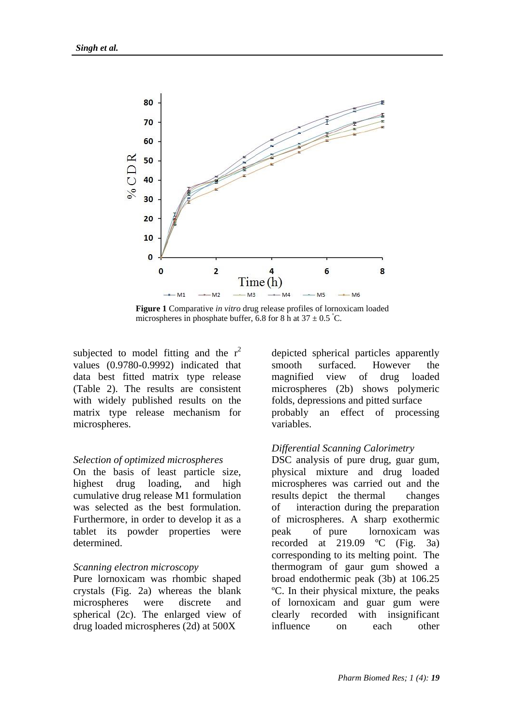

**Figure 1** Comparative *in vitro* drug release profiles of lornoxicam loaded microspheres in phosphate buffer, 6.8 for 8 h at  $37 \pm 0.5$  °C.

subjected to model fitting and the  $r^2$ values (0.9780-0.9992) indicated that data best fitted matrix type release (Table 2). The results are consistent with widely published results on the matrix type release mechanism for microspheres.

#### *Selection of optimized microspheres*

On the basis of least particle size, highest drug loading, and high cumulative drug release M1 formulation was selected as the best formulation. Furthermore, in order to develop it as a tablet its powder properties were determined.

### *Scanning electron microscopy*

Pure lornoxicam was rhombic shaped crystals (Fig. 2a) whereas the blank microspheres were discrete and spherical (2c). The enlarged view of drug loaded microspheres (2d) at 500X

depicted spherical particles apparently smooth surfaced. However the magnified view of drug loaded microspheres (2b) shows polymeric folds, depressions and pitted surface probably an effect of processing variables.

### *Differential Scanning Calorimetry*

DSC analysis of pure drug, guar gum, physical mixture and drug loaded microspheres was carried out and the results depict the thermal changes of interaction during the preparation of microspheres. A sharp exothermic peak of pure lornoxicam was recorded at 219.09 ºC (Fig. 3a) corresponding to its melting point. The thermogram of gaur gum showed a broad endothermic peak (3b) at 106.25 ºC. In their physical mixture, the peaks of lornoxicam and guar gum were clearly recorded with insignificant influence on each other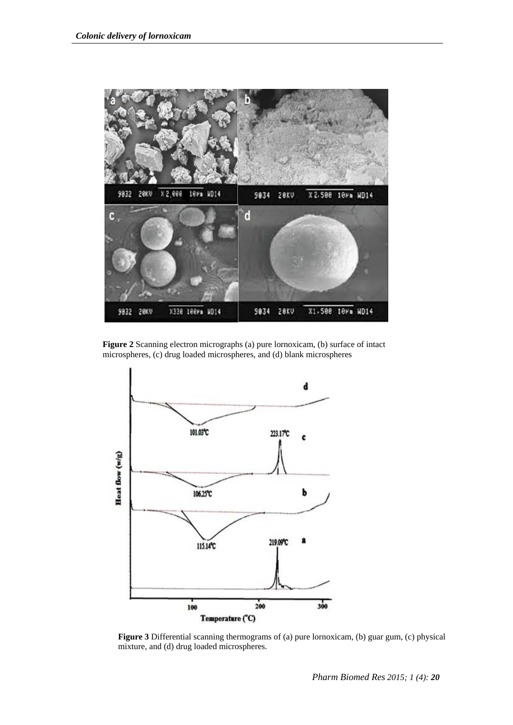

**Figure 2** Scanning electron micrographs (a) pure lornoxicam, (b) surface of intact microspheres, (c) drug loaded microspheres, and (d) blank microspheres



Figure 3 Differential scanning thermograms of (a) pure lornoxicam, (b) guar gum, (c) physical mixture, and (d) drug loaded microspheres.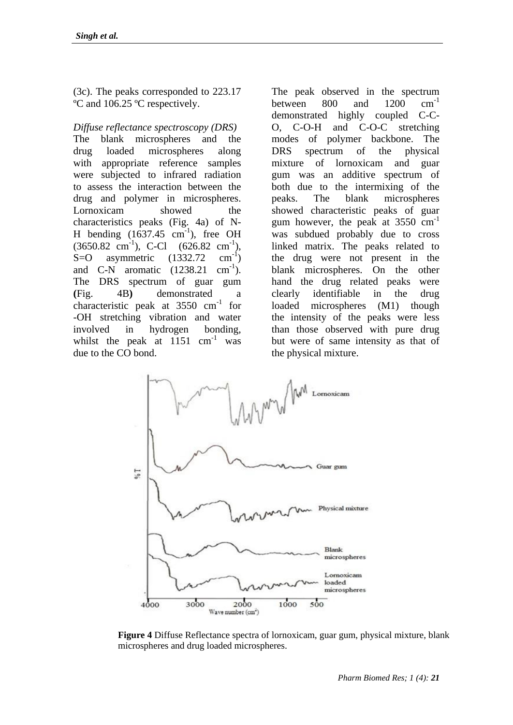(3c). The peaks corresponded to 223.17 ºC and 106.25 ºC respectively.

## *Diffuse reflectance spectroscopy (DRS)*

The blank microspheres and the drug loaded microspheres along with appropriate reference samples were subjected to infrared radiation to assess the interaction between the drug and polymer in microspheres. Lornoxicam showed the characteristics peaks (Fig. 4a) of N-H bending  $(1637.45 \text{ cm}^{-1})$ , free OH  $(3650.82 \text{ cm}^{-1})$ , C-Cl  $(626.82 \text{ cm}^{-1})$ ,  $S=O$  asymmetric  $(1332.72)$  $\text{cm}^{-1}$ ) and  $C-N$  aromatic  $(1238.21$  $\text{cm}^{-1}$ ). The DRS spectrum of guar gum **(**Fig. 4B**)** demonstrated a characteristic peak at  $3550 \text{ cm}^{-1}$  for -OH stretching vibration and water involved in hydrogen bonding, whilst the peak at  $1151 \text{ cm}^{-1}$  was due to the CO bond.

The peak observed in the spectrum between  $800$  and  $1200$  cm<sup>-1</sup> demonstrated highly coupled C-C-O, C-O-H and C-O-C stretching modes of polymer backbone. The DRS spectrum of the physical mixture of lornoxicam and guar gum was an additive spectrum of both due to the intermixing of the peaks. The blank microspheres showed characteristic peaks of guar gum however, the peak at  $3550 \text{ cm}^{-1}$ was subdued probably due to cross linked matrix. The peaks related to the drug were not present in the blank microspheres. On the other hand the drug related peaks were clearly identifiable in the drug loaded microspheres (M1) though the intensity of the peaks were less than those observed with pure drug but were of same intensity as that of the physical mixture.



**Figure 4** Diffuse Reflectance spectra of lornoxicam, guar gum, physical mixture, blank microspheres and drug loaded microspheres.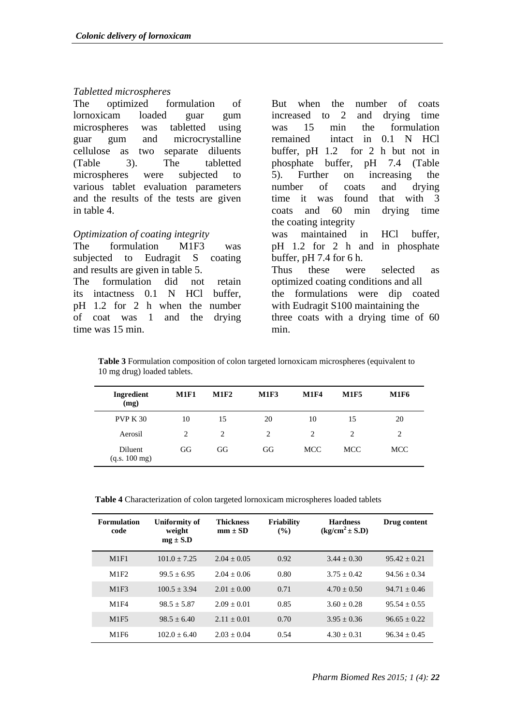#### *Tabletted microspheres*

The optimized formulation of lornoxicam loaded guar gum microspheres was tabletted using guar gum and microcrystalline cellulose as two separate diluents (Table 3). The tabletted microspheres were subjected to various tablet evaluation parameters and the results of the tests are given in table 4.

### *Optimization of coating integrity*

The formulation M1F3 was subjected to Eudragit S coating and results are given in table 5. The formulation did not retain its intactness 0.1 N HCl buffer, pH 1.2 for 2 h when the number of coat was 1 and the drying time was 15 min.

But when the number of coats increased to 2 and drying time was 15 min the formulation remained intact in 0.1 N HCl buffer, pH 1.2 for 2 h but not in phosphate buffer, pH 7.4 (Table 5). Further on increasing the number of coats and drying time it was found that with 3 coats and 60 min drying time the coating integrity was maintained in HCl buffer, pH 1.2 for 2 h and in phosphate buffer, pH 7.4 for 6 h. Thus these were selected as optimized coating conditions and all the formulations were dip coated with Eudragit S100 maintaining the three coats with a drying time of 60 min.

**Table 3** Formulation composition of colon targeted lornoxicam microspheres (equivalent to 10 mg drug) loaded tablets.

| Ingredient<br>(mg)       | <b>M1F1</b>    | <b>M1F2</b>    | <b>M1F3</b> | <b>M1F4</b> | <b>M1F5</b>                   | <b>M1F6</b> |
|--------------------------|----------------|----------------|-------------|-------------|-------------------------------|-------------|
| <b>PVP K 30</b>          | 10             | 15             | 20          | 10          | 15                            | 20          |
| Aerosil                  | $\mathfrak{D}$ | $\mathfrak{D}$ | 2           | 2           | $\mathfrak{D}_{\mathfrak{p}}$ | 2           |
| Diluent<br>(q.s. 100 mg) | GG             | GG             | GG          | <b>MCC</b>  | MCC.                          | <b>MCC</b>  |

**Table 4** Characterization of colon targeted lornoxicam microspheres loaded tablets

| <b>Formulation</b><br>code | Uniformity of<br>weight<br>$mg \pm S.D$ | <b>Thickness</b><br>$mm \pm SD$ | <b>Friability</b><br>$($ %) | <b>Hardness</b><br>$(kg/cm2 \pm S.D)$ | Drug content   |
|----------------------------|-----------------------------------------|---------------------------------|-----------------------------|---------------------------------------|----------------|
| M1F1                       | $101.0 + 7.25$                          | $2.04 + 0.05$                   | 0.92                        | $3.44 + 0.30$                         | $95.42 + 0.21$ |
| M1F2                       | $99.5 + 6.95$                           | $2.04 + 0.06$                   | 0.80                        | $3.75 + 0.42$                         | $94.56 + 0.34$ |
| M1F3                       | $100.5 + 3.94$                          | $2.01 + 0.00$                   | 0.71                        | $4.70 + 0.50$                         | $94.71 + 0.46$ |
| M1F4                       | $98.5 + 5.87$                           | $2.09 + 0.01$                   | 0.85                        | $3.60 + 0.28$                         | $95.54 + 0.55$ |
| M1F5                       | $98.5 + 6.40$                           | $2.11 + 0.01$                   | 0.70                        | $3.95 + 0.36$                         | $96.65 + 0.22$ |
| M <sub>1F6</sub>           | $102.0 + 6.40$                          | $2.03 + 0.04$                   | 0.54                        | $4.30 + 0.31$                         | $96.34 + 0.45$ |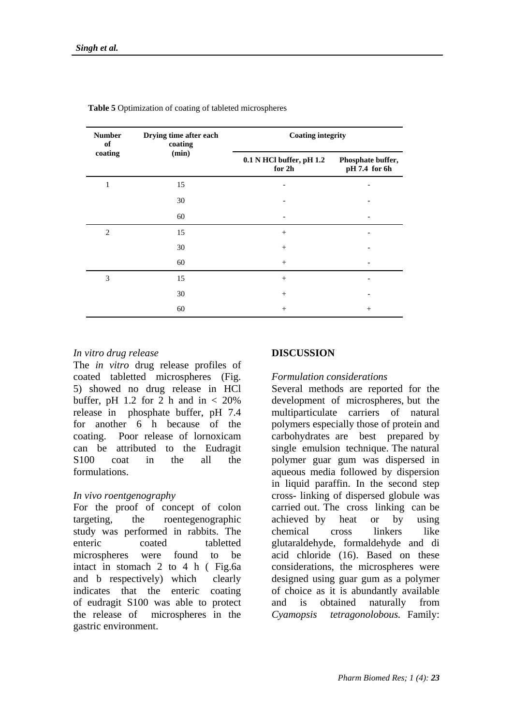| <b>Number</b><br>of | Drying time after each<br>coating | <b>Coating integrity</b>           |                                    |  |  |
|---------------------|-----------------------------------|------------------------------------|------------------------------------|--|--|
| coating             | (min)                             | 0.1 N HCl buffer, pH 1.2<br>for 2h | Phosphate buffer,<br>pH 7.4 for 6h |  |  |
| 1                   | 15                                |                                    |                                    |  |  |
|                     | 30                                |                                    |                                    |  |  |
|                     | 60                                |                                    |                                    |  |  |
| $\overline{2}$      | 15                                | $^{+}$                             |                                    |  |  |
|                     | 30                                | $^{+}$                             |                                    |  |  |
|                     | 60                                | $^{+}$                             |                                    |  |  |
| 3                   | 15                                | $\! + \!\!\!\!$                    |                                    |  |  |
|                     | 30                                | $^{+}$                             |                                    |  |  |
|                     | 60                                | $^{+}$                             | $^{+}$                             |  |  |

**Table 5** Optimization of coating of tableted microspheres

#### *In vitro drug release*

The *in vitro* drug release profiles of coated tabletted microspheres (Fig. 5) showed no drug release in HCl buffer, pH 1.2 for 2 h and in  $< 20\%$ release in phosphate buffer, pH 7.4 for another 6 h because of the coating. Poor release of lornoxicam can be attributed to the Eudragit S100 coat in the all the formulations.

### *In vivo roentgenography*

For the proof of concept of colon targeting, the roentegenographic study was performed in rabbits. The enteric coated tabletted microspheres were found to be intact in stomach 2 to 4 h ( Fig.6a and b respectively) which clearly indicates that the enteric coating of eudragit S100 was able to protect the release of microspheres in the gastric environment.

#### **DISCUSSION**

### *Formulation considerations*

Several methods are reported for the development of microspheres, but the multiparticulate carriers of natural polymers especially those of protein and carbohydrates are best prepared by single emulsion technique. The natural polymer guar gum was dispersed in aqueous media followed by dispersion in liquid paraffin. In the second step cross- linking of dispersed globule was carried out. The cross linking can be achieved by heat or by using chemical cross linkers like glutaraldehyde, formaldehyde and di acid chloride (16). Based on these considerations, the microspheres were designed using guar gum as a polymer of choice as it is abundantly available and is obtained naturally from *Cyamopsis tetragonolobous.* Family: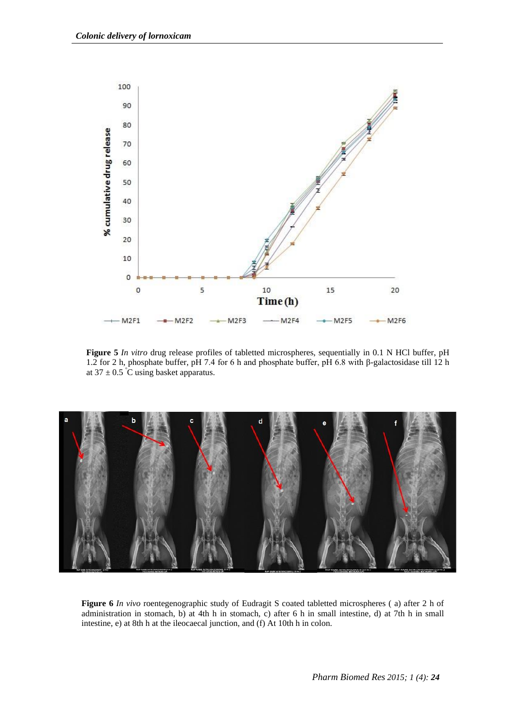

**Figure 5** *In vitro* drug release profiles of tabletted microspheres, sequentially in 0.1 N HCl buffer, pH 1.2 for 2 h, phosphate buffer, pH 7.4 for 6 h and phosphate buffer, pH 6.8 with β-galactosidase till 12 h at  $37 \pm 0.5^{\circ}$ C using basket apparatus.



**Figure 6** *In vivo* roentegenographic study of Eudragit S coated tabletted microspheres ( a) after 2 h of administration in stomach, b) at 4th h in stomach, c) after 6 h in small intestine, d) at 7th h in small intestine, e) at 8th h at the ileocaecal junction, and (f) At 10th h in colon.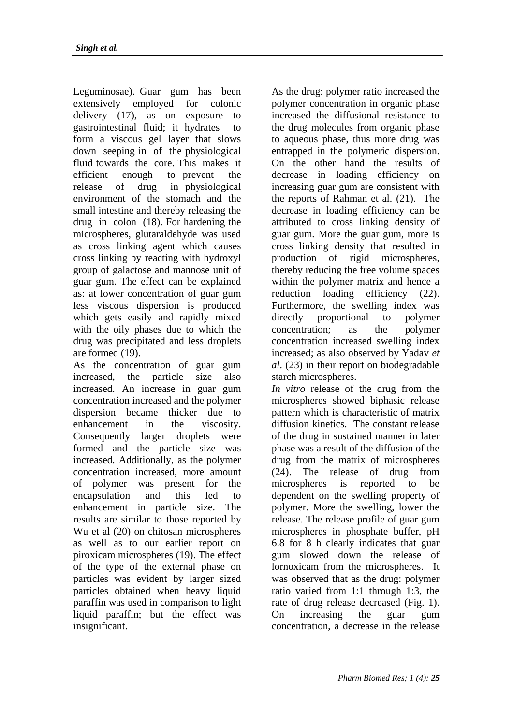Leguminosae). Guar gum has been extensively employed for colonic delivery (17), as on exposure to gastrointestinal fluid; it hydrates to form a viscous gel layer that slows down seeping in of the physiological fluid towards the core. This makes it efficient enough to prevent the release of drug in physiological environment of the stomach and the small intestine and thereby releasing the drug in colon (18). For hardening the microspheres, glutaraldehyde was used as cross linking agent which causes cross linking by reacting with hydroxyl group of galactose and mannose unit of guar gum. The effect can be explained as: at lower concentration of guar gum less viscous dispersion is produced which gets easily and rapidly mixed with the oily phases due to which the drug was precipitated and less droplets are formed (19).

As the concentration of guar gum increased, the particle size also increased. An increase in guar gum concentration increased and the polymer dispersion became thicker due to enhancement in the viscosity. Consequently larger droplets were formed and the particle size was increased. Additionally, as the polymer concentration increased, more amount of polymer was present for the encapsulation and this led to enhancement in particle size. The results are similar to those reported by Wu et al (20) on chitosan microspheres as well as to our earlier report on piroxicam microspheres (19). The effect of the type of the external phase on particles was evident by larger sized particles obtained when heavy liquid paraffin was used in comparison to light liquid paraffin; but the effect was insignificant.

As the drug: polymer ratio increased the polymer concentration in organic phase increased the diffusional resistance to the drug molecules from organic phase to aqueous phase, thus more drug was entrapped in the polymeric dispersion. On the other hand the results of decrease in loading efficiency on increasing guar gum are consistent with the reports of Rahman et al. (21). The decrease in loading efficiency can be attributed to cross linking density of guar gum. More the guar gum, more is cross linking density that resulted in production of rigid microspheres, thereby reducing the free volume spaces within the polymer matrix and hence a reduction loading efficiency (22). Furthermore, the swelling index was directly proportional to polymer concentration; as the polymer concentration increased swelling index increased; as also observed by Yadav *et al*. (23) in their report on biodegradable starch microspheres.

*In vitro* release of the drug from the microspheres showed biphasic release pattern which is characteristic of matrix diffusion kinetics. The constant release of the drug in sustained manner in later phase was a result of the diffusion of the drug from the matrix of microspheres (24). The release of drug from microspheres is reported to be dependent on the swelling property of polymer. More the swelling, lower the release. The release profile of guar gum microspheres in phosphate buffer, pH 6.8 for 8 h clearly indicates that guar gum slowed down the release of lornoxicam from the microspheres. It was observed that as the drug: polymer ratio varied from 1:1 through 1:3, the rate of drug release decreased (Fig. 1). On increasing the guar gum concentration, a decrease in the release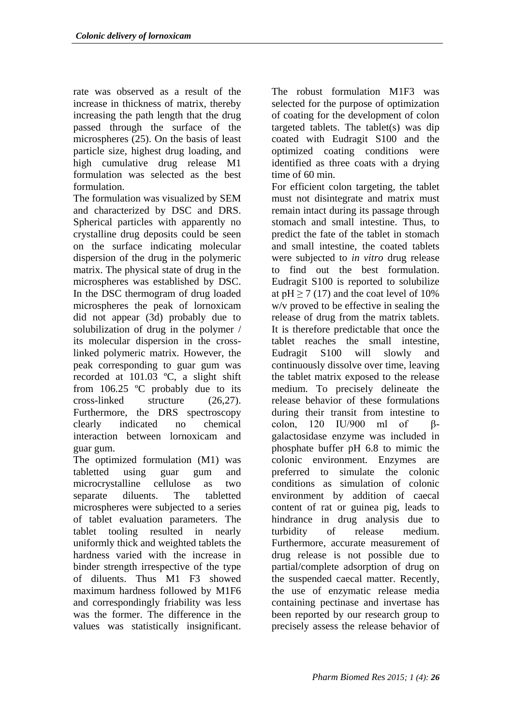rate was observed as a result of the increase in thickness of matrix, thereby increasing the path length that the drug passed through the surface of the microspheres (25). On the basis of least particle size, highest drug loading, and high cumulative drug release M1 formulation was selected as the best formulation.

The formulation was visualized by SEM and characterized by DSC and DRS. Spherical particles with apparently no crystalline drug deposits could be seen on the surface indicating molecular dispersion of the drug in the polymeric matrix. The physical state of drug in the microspheres was established by DSC. In the DSC thermogram of drug loaded microspheres the peak of lornoxicam did not appear (3d) probably due to solubilization of drug in the polymer / its molecular dispersion in the crosslinked polymeric matrix. However, the peak corresponding to guar gum was recorded at 101.03 ºC, a slight shift from 106.25 ºC probably due to its cross-linked structure (26,27). Furthermore, the DRS spectroscopy clearly indicated no chemical interaction between lornoxicam and guar gum.

The optimized formulation (M1) was tabletted using guar gum and microcrystalline cellulose as two separate diluents. The tabletted microspheres were subjected to a series of tablet evaluation parameters. The tablet tooling resulted in nearly uniformly thick and weighted tablets the hardness varied with the increase in binder strength irrespective of the type of diluents. Thus M1 F3 showed maximum hardness followed by M1F6 and correspondingly friability was less was the former. The difference in the values was statistically insignificant.

The robust formulation M1F3 was selected for the purpose of optimization of coating for the development of colon targeted tablets. The tablet(s) was dip coated with Eudragit S100 and the optimized coating conditions were identified as three coats with a drying time of 60 min.

For efficient colon targeting, the tablet must not disintegrate and matrix must remain intact during its passage through stomach and small intestine. Thus, to predict the fate of the tablet in stomach and small intestine, the coated tablets were subjected to *in vitro* drug release to find out the best formulation. Eudragit S100 is reported to solubilize at  $pH \ge 7$  (17) and the coat level of 10% w/v proved to be effective in sealing the release of drug from the matrix tablets. It is therefore predictable that once the tablet reaches the small intestine, Eudragit S100 will slowly and continuously dissolve over time, leaving the tablet matrix exposed to the release medium. To precisely delineate the release behavior of these formulations during their transit from intestine to colon,  $120$  IU/900 ml of  $\beta$ galactosidase enzyme was included in phosphate buffer pH 6.8 to mimic the colonic environment. Enzymes are preferred to simulate the colonic conditions as simulation of colonic environment by addition of caecal content of rat or guinea pig, leads to hindrance in drug analysis due to turbidity of release medium. Furthermore, accurate measurement of drug release is not possible due to partial/complete adsorption of drug on the suspended caecal matter. Recently, the use of enzymatic release media containing pectinase and invertase has been reported by our research group to precisely assess the release behavior of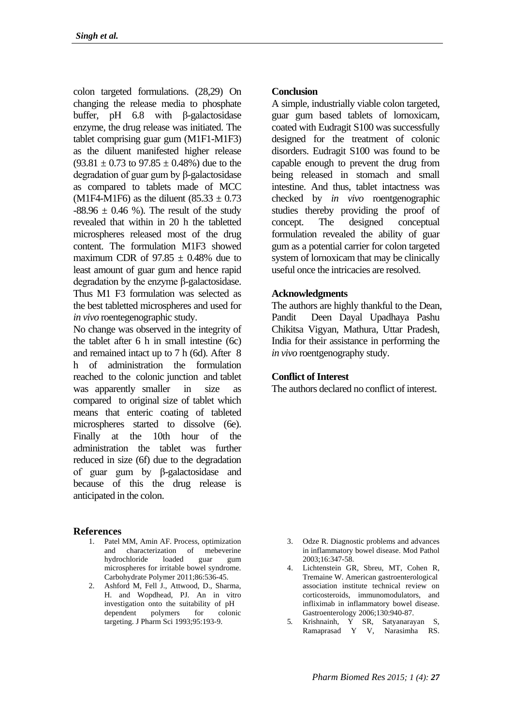colon targeted formulations. (28,29) On changing the release media to phosphate buffer, pH 6.8 with β-galactosidase enzyme, the drug release was initiated. The tablet comprising guar gum (M1F1-M1F3) as the diluent manifested higher release  $(93.81 \pm 0.73$  to  $97.85 \pm 0.48$ %) due to the degradation of guar gum by β-galactosidase as compared to tablets made of MCC (M1F4-M1F6) as the diluent  $(85.33 \pm 0.73)$  $-88.96 \pm 0.46$  %). The result of the study revealed that within in 20 h the tabletted microspheres released most of the drug content. The formulation M1F3 showed maximum CDR of  $97.85 \pm 0.48\%$  due to least amount of guar gum and hence rapid degradation by the enzyme  $\beta$ -galactosidase. Thus M1 F3 formulation was selected as the best tabletted microspheres and used for *in vivo* roentegenographic study.

No change was observed in the integrity of the tablet after 6 h in small intestine (6c) and remained intact up to 7 h (6d). After 8 h of administration the formulation reached to the colonic junction and tablet was apparently smaller in size as compared to original size of tablet which means that enteric coating of tableted microspheres started to dissolve (6e). Finally at the 10th hour of the administration the tablet was further reduced in size (6f) due to the degradation of guar gum by  $\beta$ -galactosidase and because of this the drug release is anticipated in the colon.

### **References**

- 1. Patel MM, Amin AF. Process, optimization and characterization of mebeverine hydrochloride loaded guar gum microspheres for irritable bowel syndrome. Carbohydrate Polymer 2011;86:536-45.
- 2. Ashford M, Fell J., Attwood, D., Sharma, H. and Wopdhead, PJ. An in vitro investigation onto the suitability of pH dependent polymers for colonic targeting. J Pharm Sci 1993;95:193-9.

### **Conclusion**

A simple, industrially viable colon targeted, guar gum based tablets of lornoxicam, coated with Eudragit S100 was successfully designed for the treatment of colonic disorders. Eudragit S100 was found to be capable enough to prevent the drug from being released in stomach and small intestine. And thus, tablet intactness was checked by *in vivo* roentgenographic studies thereby providing the proof of concept. The designed conceptual formulation revealed the ability of guar gum as a potential carrier for colon targeted system of lornoxicam that may be clinically useful once the intricacies are resolved.

### **Acknowledgments**

The authors are highly thankful to the Dean, Pandit Deen Dayal Upadhaya Pashu Chikitsa Vigyan, Mathura, Uttar Pradesh, India for their assistance in performing the *in vivo* roentgenography study.

### **Conflict of Interest**

The authors declared no conflict of interest.

- 3. Odze R. Diagnostic problems and advances in inflammatory bowel disease. Mod Pathol 2003;16:347-58.
- 4. Lichtenstein GR, Sbreu, MT, Cohen R, Tremaine W. American gastroenterological association institute technical review on corticosteroids, immunomodulators, and infliximab in inflammatory bowel disease. Gastroenterology 2006;130:940-87.
- 5. Krishnainh, Y SR, Satyanarayan S, Ramaprasad Y V, Narasimha RS.